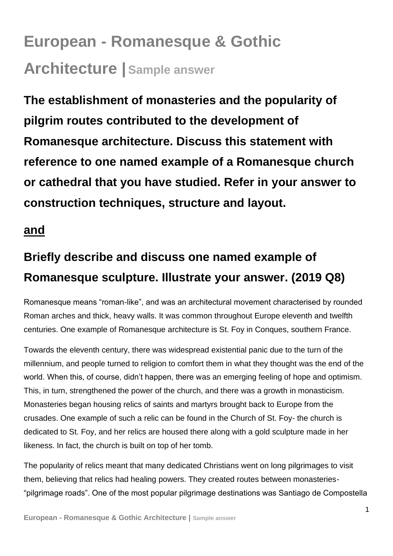## **European - Romanesque & Gothic Architecture | Sample answer**

**The establishment of monasteries and the popularity of pilgrim routes contributed to the development of Romanesque architecture. Discuss this statement with reference to one named example of a Romanesque church or cathedral that you have studied. Refer in your answer to construction techniques, structure and layout.** 

## **and**

## **Briefly describe and discuss one named example of Romanesque sculpture. Illustrate your answer. (2019 Q8)**

Romanesque means "roman-like", and was an architectural movement characterised by rounded Roman arches and thick, heavy walls. It was common throughout Europe eleventh and twelfth centuries. One example of Romanesque architecture is St. Foy in Conques, southern France.

Towards the eleventh century, there was widespread existential panic due to the turn of the millennium, and people turned to religion to comfort them in what they thought was the end of the world. When this, of course, didn't happen, there was an emerging feeling of hope and optimism. This, in turn, strengthened the power of the church, and there was a growth in monasticism. Monasteries began housing relics of saints and martyrs brought back to Europe from the crusades. One example of such a relic can be found in the Church of St. Foy- the church is dedicated to St. Foy, and her relics are housed there along with a gold sculpture made in her likeness. In fact, the church is built on top of her tomb.

The popularity of relics meant that many dedicated Christians went on long pilgrimages to visit them, believing that relics had healing powers. They created routes between monasteries- "pilgrimage roads". One of the most popular pilgrimage destinations was Santiago de Compostella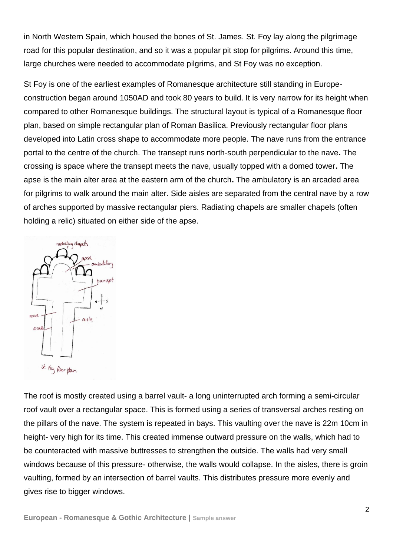in North Western Spain, which housed the bones of St. James. St. Foy lay along the pilgrimage road for this popular destination, and so it was a popular pit stop for pilgrims. Around this time, large churches were needed to accommodate pilgrims, and St Foy was no exception.

St Foy is one of the earliest examples of Romanesque architecture still standing in Europeconstruction began around 1050AD and took 80 years to build. It is very narrow for its height when compared to other Romanesque buildings. The structural layout is typical of a Romanesque floor plan, based on simple rectangular plan of Roman Basilica. Previously rectangular floor plans developed into Latin cross shape to accommodate more people. The nave runs from the entrance portal to the centre of the church. The transept runs north-south perpendicular to the nave**.** The crossing is space where the transept meets the nave, usually topped with a domed tower**.** The apse is the main alter area at the eastern arm of the church**.** The ambulatory is an arcaded area for pilgrims to walk around the main alter. Side aisles are separated from the central nave by a row of arches supported by massive rectangular piers. Radiating chapels are smaller chapels (often holding a relic) situated on either side of the apse.



The roof is mostly created using a barrel vault- a long uninterrupted arch forming a semi-circular roof vault over a rectangular space. This is formed using a series of transversal arches resting on the pillars of the nave. The system is repeated in bays. This vaulting over the nave is 22m 10cm in height- very high for its time. This created immense outward pressure on the walls, which had to be counteracted with massive buttresses to strengthen the outside. The walls had very small windows because of this pressure- otherwise, the walls would collapse. In the aisles, there is groin vaulting, formed by an intersection of barrel vaults. This distributes pressure more evenly and gives rise to bigger windows.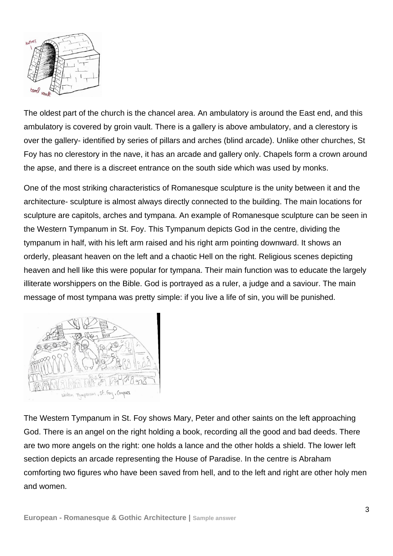

The oldest part of the church is the chancel area. An ambulatory is around the East end, and this ambulatory is covered by groin vault. There is a gallery is above ambulatory, and a clerestory is over the gallery- identified by series of pillars and arches (blind arcade). Unlike other churches, St Foy has no clerestory in the nave, it has an arcade and gallery only. Chapels form a crown around the apse, and there is a discreet entrance on the south side which was used by monks.

One of the most striking characteristics of Romanesque sculpture is the unity between it and the architecture- sculpture is almost always directly connected to the building. The main locations for sculpture are capitols, arches and tympana. An example of Romanesque sculpture can be seen in the Western Tympanum in St. Foy. This Tympanum depicts God in the centre, dividing the tympanum in half, with his left arm raised and his right arm pointing downward. It shows an orderly, pleasant heaven on the left and a chaotic Hell on the right. Religious scenes depicting heaven and hell like this were popular for tympana. Their main function was to educate the largely illiterate worshippers on the Bible. God is portrayed as a ruler, a judge and a saviour. The main message of most tympana was pretty simple: if you live a life of sin, you will be punished.



The Western Tympanum in St. Foy shows Mary, Peter and other saints on the left approaching God. There is an angel on the right holding a book, recording all the good and bad deeds. There are two more angels on the right: one holds a lance and the other holds a shield. The lower left section depicts an arcade representing the House of Paradise. In the centre is Abraham comforting two figures who have been saved from hell, and to the left and right are other holy men and women.